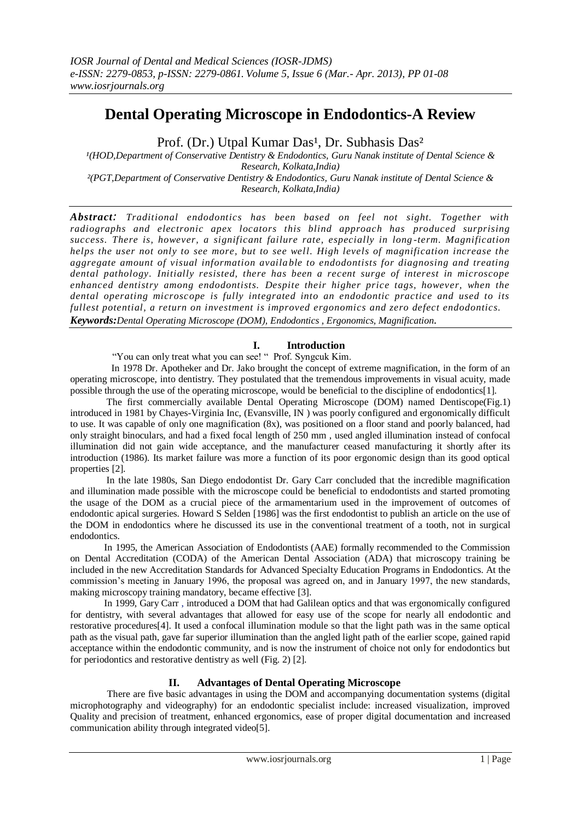# **Dental Operating Microscope in Endodontics-A Review**

Prof. (Dr.) Utpal Kumar Das<sup>1</sup>, Dr. Subhasis Das<sup>2</sup>

*¹(HOD,Department of Conservative Dentistry & Endodontics, Guru Nanak institute of Dental Science & Research, Kolkata,India) ²(PGT,Department of Conservative Dentistry & Endodontics, Guru Nanak institute of Dental Science & Research, Kolkata,India)*

*Abstract: Traditional endodontics has been based on feel not sight. Together with radiographs and electronic apex locators this blind approach has produced surprising success. There is, however, a significant failure rate, especially in long -term. Magnification helps the user not only to see more, but to see well. High levels of magnification increase the aggregate amount of visual information availa ble to endodontists for diagnosing and treating dental pathology. Initially resisted, there has been a recent surge of interest in microscope enhanced dentistry among endodontists. Despite their higher price tags, however, when the dental operating microscope is fully integrated into an endodontic practice and used to its fullest potential, a return on investment is improved ergonomics and zero defect endodontics. Keywords:Dental Operating Microscope (DOM), Endodontics , Ergonomics, Magnification*.

# **I. Introduction**

―You can only treat what you can see! ― Prof. Syngcuk Kim.

 In 1978 Dr. Apotheker and Dr. Jako brought the concept of extreme magnification, in the form of an operating microscope, into dentistry. They postulated that the tremendous improvements in visual acuity, made possible through the use of the operating microscope, would be beneficial to the discipline of endodontics[1].

 The first commercially available Dental Operating Microscope (DOM) named Dentiscope(Fig.1) introduced in 1981 by Chayes-Virginia Inc, (Evansville, IN ) was poorly configured and ergonomically difficult to use. It was capable of only one magnification (8x), was positioned on a floor stand and poorly balanced, had only straight binoculars, and had a fixed focal length of 250 mm , used angled illumination instead of confocal illumination did not gain wide acceptance, and the manufacturer ceased manufacturing it shortly after its introduction (1986). Its market failure was more a function of its poor ergonomic design than its good optical properties [2].

 In the late 1980s, San Diego endodontist Dr. Gary Carr concluded that the incredible magnification and illumination made possible with the microscope could be beneficial to endodontists and started promoting the usage of the DOM as a crucial piece of the armamentarium used in the improvement of outcomes of endodontic apical surgeries. Howard S Selden [1986] was the first endodontist to publish an article on the use of the DOM in endodontics where he discussed its use in the conventional treatment of a tooth, not in surgical endodontics.

 In 1995, the American Association of Endodontists (AAE) formally recommended to the Commission on Dental Accreditation (CODA) of the American Dental Association (ADA) that microscopy training be included in the new Accreditation Standards for Advanced Specialty Education Programs in Endodontics. At the commission's meeting in January 1996, the proposal was agreed on, and in January 1997, the new standards, making microscopy training mandatory, became effective [3].

 In 1999, Gary Carr , introduced a DOM that had Galilean optics and that was ergonomically configured for dentistry, with several advantages that allowed for easy use of the scope for nearly all endodontic and restorative procedures[4]. It used a confocal illumination module so that the light path was in the same optical path as the visual path, gave far superior illumination than the angled light path of the earlier scope, gained rapid acceptance within the endodontic community, and is now the instrument of choice not only for endodontics but for periodontics and restorative dentistry as well (Fig. 2) [2].

## **II. Advantages of Dental Operating Microscope**

 There are five basic advantages in using the DOM and accompanying documentation systems (digital microphotography and videography) for an endodontic specialist include: increased visualization, improved Quality and precision of treatment, enhanced ergonomics, ease of proper digital documentation and increased communication ability through integrated video[5].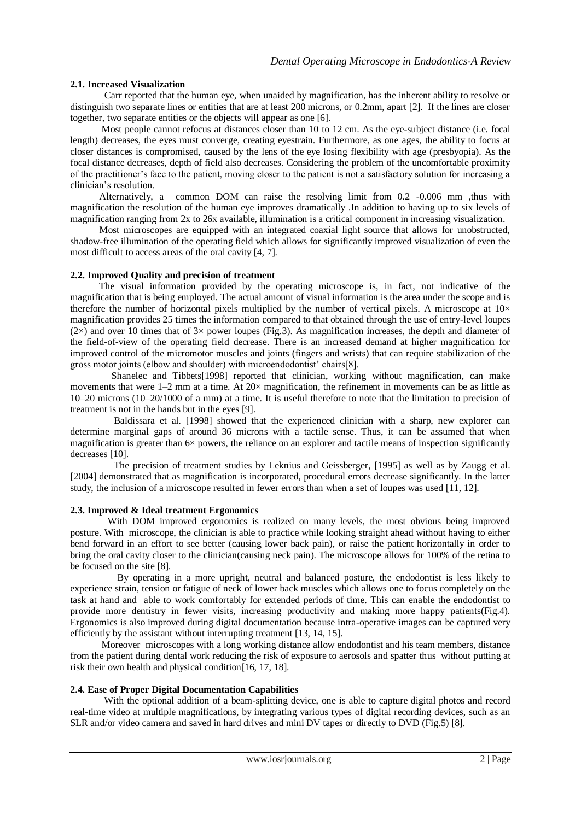## **2.1. Increased Visualization**

 Carr reported that the human eye, when unaided by magnification, has the inherent ability to resolve or distinguish two separate lines or entities that are at least 200 microns, or 0.2mm, apart [2]. If the lines are closer together, two separate entities or the objects will appear as one [6].

Most people cannot refocus at distances closer than 10 to 12 cm. As the eye-subject distance (i.e. focal length) decreases, the eyes must converge, creating eyestrain. Furthermore, as one ages, the ability to focus at closer distances is compromised, caused by the lens of the eye losing flexibility with age (presbyopia). As the focal distance decreases, depth of field also decreases. Considering the problem of the uncomfortable proximity of the practitioner's face to the patient, moving closer to the patient is not a satisfactory solution for increasing a clinician's resolution.

 Alternatively, a common DOM can raise the resolving limit from 0.2 -0.006 mm ,thus with magnification the resolution of the human eye improves dramatically .In addition to having up to six levels of magnification ranging from 2x to 26x available, illumination is a critical component in increasing visualization.

 Most microscopes are equipped with an integrated coaxial light source that allows for unobstructed, shadow-free illumination of the operating field which allows for significantly improved visualization of even the most difficult to access areas of the oral cavity [4, 7].

## **2.2. Improved Quality and precision of treatment**

 The visual information provided by the operating microscope is, in fact, not indicative of the magnification that is being employed. The actual amount of visual information is the area under the scope and is therefore the number of horizontal pixels multiplied by the number of vertical pixels. A microscope at  $10\times$ magnification provides 25 times the information compared to that obtained through the use of entry-level loupes  $(2\times)$  and over 10 times that of 3 $\times$  power loupes (Fig.3). As magnification increases, the depth and diameter of the field-of-view of the operating field decrease. There is an increased demand at higher magnification for improved control of the micromotor muscles and joints (fingers and wrists) that can require stabilization of the gross motor joints (elbow and shoulder) with microendodontist' chairs[8].

 Shanelec and Tibbets[1998] reported that clinician, working without magnification, can make movements that were  $1-2$  mm at a time. At  $20\times$  magnification, the refinement in movements can be as little as 10–20 microns (10–20/1000 of a mm) at a time. It is useful therefore to note that the limitation to precision of treatment is not in the hands but in the eyes [9].

 Baldissara et al. [1998] showed that the experienced clinician with a sharp, new explorer can determine marginal gaps of around 36 microns with a tactile sense. Thus, it can be assumed that when magnification is greater than  $6\times$  powers, the reliance on an explorer and tactile means of inspection significantly decreases [10].

 The precision of treatment studies by Leknius and Geissberger, [1995] as well as by Zaugg et al. [2004] demonstrated that as magnification is incorporated, procedural errors decrease significantly. In the latter study, the inclusion of a microscope resulted in fewer errors than when a set of loupes was used [11, 12].

## **2.3. Improved & Ideal treatment Ergonomics**

With DOM improved ergonomics is realized on many levels, the most obvious being improved posture. With microscope, the clinician is able to practice while looking straight ahead without having to either bend forward in an effort to see better (causing lower back pain), or raise the patient horizontally in order to bring the oral cavity closer to the clinician(causing neck pain). The microscope allows for 100% of the retina to be focused on the site [8].

 By operating in a more upright, neutral and balanced posture, the endodontist is less likely to experience strain, tension or fatigue of neck of lower back muscles which allows one to focus completely on the task at hand and able to work comfortably for extended periods of time. This can enable the endodontist to provide more dentistry in fewer visits, increasing productivity and making more happy patients(Fig.4). Ergonomics is also improved during digital documentation because intra-operative images can be captured very efficiently by the assistant without interrupting treatment [13, 14, 15].

 Moreover microscopes with a long working distance allow endodontist and his team members, distance from the patient during dental work reducing the risk of exposure to aerosols and spatter thus without putting at risk their own health and physical condition[16, 17, 18].

## **2.4. Ease of Proper Digital Documentation Capabilities**

 With the optional addition of a beam-splitting device, one is able to capture digital photos and record real-time video at multiple magnifications, by integrating various types of digital recording devices, such as an SLR and/or video camera and saved in hard drives and mini DV tapes or directly to DVD (Fig.5) [8].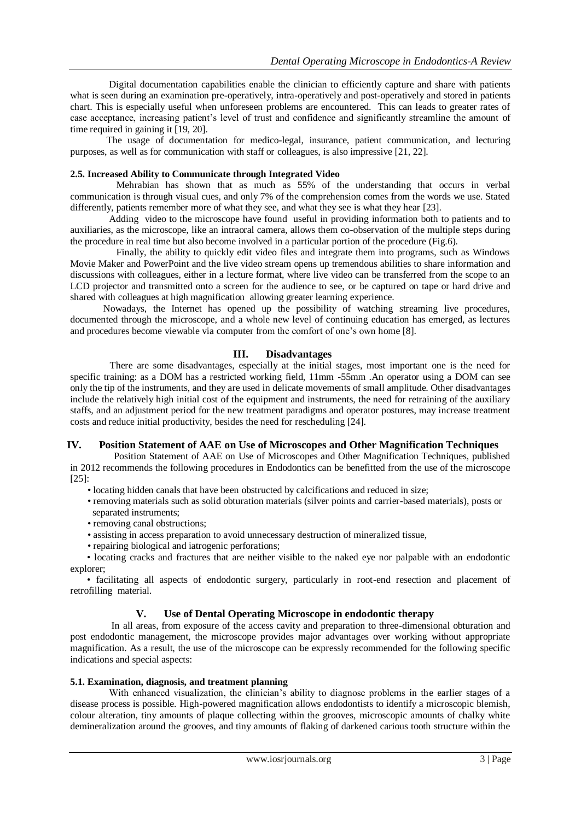Digital documentation capabilities enable the clinician to efficiently capture and share with patients what is seen during an examination pre-operatively, intra-operatively and post-operatively and stored in patients chart. This is especially useful when unforeseen problems are encountered. This can leads to greater rates of case acceptance, increasing patient's level of trust and confidence and significantly streamline the amount of time required in gaining it [19, 20].

 The usage of documentation for medico-legal, insurance, patient communication, and lecturing purposes, as well as for communication with staff or colleagues, is also impressive [21, 22].

## **2.5. Increased Ability to Communicate through Integrated Video**

 Mehrabian has shown that as much as 55% of the understanding that occurs in verbal communication is through visual cues, and only 7% of the comprehension comes from the words we use. Stated differently, patients remember more of what they see, and what they see is what they hear [23].

 Adding video to the microscope have found useful in providing information both to patients and to auxiliaries, as the microscope, like an intraoral camera, allows them co-observation of the multiple steps during the procedure in real time but also become involved in a particular portion of the procedure (Fig.6).

 Finally, the ability to quickly edit video files and integrate them into programs, such as Windows Movie Maker and PowerPoint and the live video stream opens up tremendous abilities to share information and discussions with colleagues, either in a lecture format, where live video can be transferred from the scope to an LCD projector and transmitted onto a screen for the audience to see, or be captured on tape or hard drive and shared with colleagues at high magnification allowing greater learning experience.

 Nowadays, the Internet has opened up the possibility of watching streaming live procedures, documented through the microscope, and a whole new level of continuing education has emerged, as lectures and procedures become viewable via computer from the comfort of one's own home [8].

## **III. Disadvantages**

 There are some disadvantages, especially at the initial stages, most important one is the need for specific training: as a DOM has a restricted working field, 11mm -55mm .An operator using a DOM can see only the tip of the instruments, and they are used in delicate movements of small amplitude. Other disadvantages include the relatively high initial cost of the equipment and instruments, the need for retraining of the auxiliary staffs, and an adjustment period for the new treatment paradigms and operator postures, may increase treatment costs and reduce initial productivity, besides the need for rescheduling [24].

# **IV. Position Statement of AAE on Use of Microscopes and Other Magnification Techniques**

 Position Statement of AAE on Use of Microscopes and Other Magnification Techniques, published in 2012 recommends the following procedures in Endodontics can be benefitted from the use of the microscope [25]:

- locating hidden canals that have been obstructed by calcifications and reduced in size;
- removing materials such as solid obturation materials (silver points and carrier-based materials), posts or separated instruments;
- removing canal obstructions;
- assisting in access preparation to avoid unnecessary destruction of mineralized tissue,
- repairing biological and iatrogenic perforations;

 • locating cracks and fractures that are neither visible to the naked eye nor palpable with an endodontic explorer;

 • facilitating all aspects of endodontic surgery, particularly in root-end resection and placement of retrofilling material.

## **V. Use of Dental Operating Microscope in endodontic therapy**

 In all areas, from exposure of the access cavity and preparation to three-dimensional obturation and post endodontic management, the microscope provides major advantages over working without appropriate magnification. As a result, the use of the microscope can be expressly recommended for the following specific indications and special aspects:

#### **5.1. Examination, diagnosis, and treatment planning**

With enhanced visualization, the clinician's ability to diagnose problems in the earlier stages of a disease process is possible. High-powered magnification allows endodontists to identify a microscopic blemish, colour alteration, tiny amounts of plaque collecting within the grooves, microscopic amounts of chalky white demineralization around the grooves, and tiny amounts of flaking of darkened carious tooth structure within the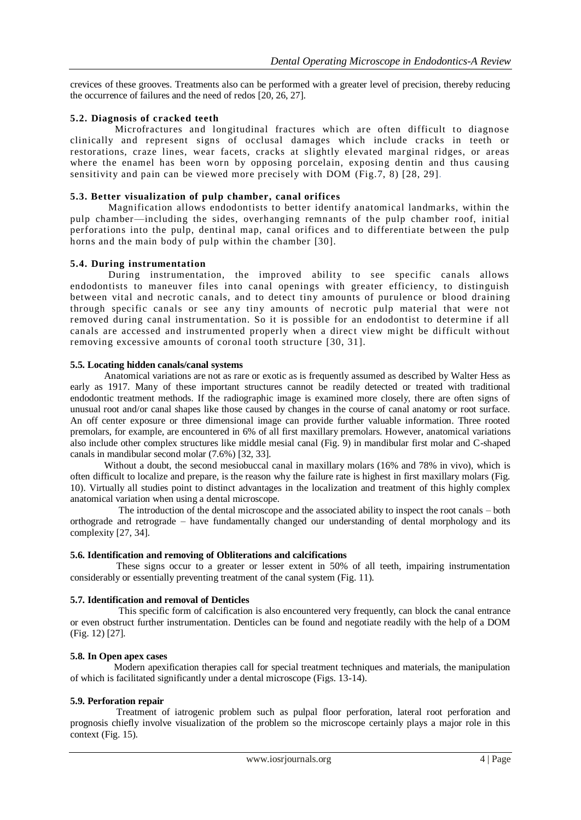crevices of these grooves. Treatments also can be performed with a greater level of precision, thereby reducing the occurrence of failures and the need of redos [20, 26, 27].

## **5.2. Diagnosis of cracked teeth**

 Microfractures and longitudinal fractures which are often difficult to diagnose clinically and represent signs of occlusal damages which include cracks in teeth or restorations, craze lines, wear facets, cracks at slightly elevated marginal ridges, or areas where the enamel has been worn by opposing porcelain, exposing dentin and thus causing sensitivity and pain can be viewed more precisely with DOM (Fig.7, 8) [28, 29].

## **5.3. Better visualization of pulp chamber, canal orifices**

 Magnification allows endodontists to better identify anatomical landmarks, within the pulp chamber—including the sides, overhanging remnants of the pulp chamber roof, initial perforations into the pulp, dentinal map, canal orifices and to differentiate between the pulp horns and the main body of pulp within the chamber [30].

## **5.4. During instrumentation**

 During instrumentation, the improved ability to see specific canals allows endodontists to maneuver files into canal openings with greater efficiency, to distinguish between vital and necrotic canals, and to detect tiny amounts of purulence or blood draining through specific canals or see any tiny amounts of necrotic pulp material that were not removed during canal instrumentation. So it is possible for an endodontist to determine if all canals are accessed and instrumented properly when a direct view might be difficult without removing excessive amounts of coronal tooth structure [30, 31].

## **5.5. Locating hidden canals/canal systems**

 Anatomical variations are not as rare or exotic as is frequently assumed as described by Walter Hess as early as 1917. Many of these important structures cannot be readily detected or treated with traditional endodontic treatment methods. If the radiographic image is examined more closely, there are often signs of unusual root and/or canal shapes like those caused by changes in the course of canal anatomy or root surface. An off center exposure or three dimensional image can provide further valuable information. Three rooted premolars, for example, are encountered in 6% of all first maxillary premolars. However, anatomical variations also include other complex structures like middle mesial canal (Fig. 9) in mandibular first molar and C-shaped canals in mandibular second molar (7.6%) [32, 33].

 Without a doubt, the second mesiobuccal canal in maxillary molars (16% and 78% in vivo), which is often difficult to localize and prepare, is the reason why the failure rate is highest in first maxillary molars (Fig. 10). Virtually all studies point to distinct advantages in the localization and treatment of this highly complex anatomical variation when using a dental microscope.

 The introduction of the dental microscope and the associated ability to inspect the root canals – both orthograde and retrograde – have fundamentally changed our understanding of dental morphology and its complexity [27, 34].

## **5.6. Identification and removing of Obliterations and calcifications**

 These signs occur to a greater or lesser extent in 50% of all teeth, impairing instrumentation considerably or essentially preventing treatment of the canal system (Fig. 11).

## **5.7. Identification and removal of Denticles**

 This specific form of calcification is also encountered very frequently, can block the canal entrance or even obstruct further instrumentation. Denticles can be found and negotiate readily with the help of a DOM (Fig. 12) [27].

## **5.8. In Open apex cases**

 Modern apexification therapies call for special treatment techniques and materials, the manipulation of which is facilitated significantly under a dental microscope (Figs. 13-14).

## **5.9. Perforation repair**

 Treatment of iatrogenic problem such as pulpal floor perforation, lateral root perforation and prognosis chiefly involve visualization of the problem so the microscope certainly plays a major role in this context (Fig. 15).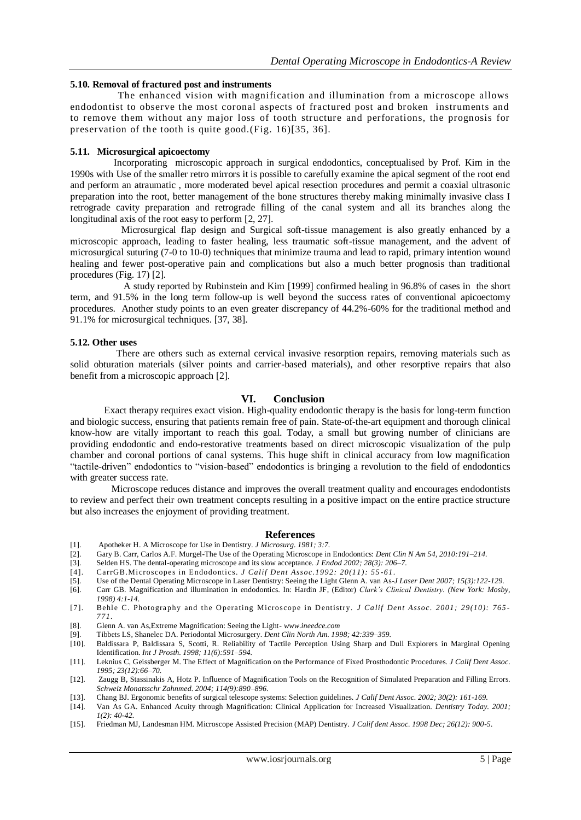## **5.10. Removal of fractured post and instruments**

 The enhanced vision with magnification and illumination from a microscope allows endodontist to observe the most coronal aspects of fractured post and broken instruments and to remove them without any major loss of tooth structure and perforations, the prognosis for preservation of the tooth is quite good.(Fig. 16)[35, 36].

#### **5.11. Microsurgical apicoectomy**

 Incorporating microscopic approach in surgical endodontics, conceptualised by Prof. Kim in the 1990s with Use of the smaller retro mirrors it is possible to carefully examine the apical segment of the root end and perform an atraumatic , more moderated bevel apical resection procedures and permit a coaxial ultrasonic preparation into the root, better management of the bone structures thereby making minimally invasive class I retrograde cavity preparation and retrograde filling of the canal system and all its branches along the longitudinal axis of the root easy to perform [2, 27].

 Microsurgical flap design and Surgical soft-tissue management is also greatly enhanced by a microscopic approach, leading to faster healing, less traumatic soft-tissue management, and the advent of microsurgical suturing (7-0 to 10-0) techniques that minimize trauma and lead to rapid, primary intention wound healing and fewer post-operative pain and complications but also a much better prognosis than traditional procedures (Fig. 17) [2].

 A study reported by Rubinstein and Kim [1999] confirmed healing in 96.8% of cases in the short term, and 91.5% in the long term follow-up is well beyond the success rates of conventional apicoectomy procedures. Another study points to an even greater discrepancy of 44.2%-60% for the traditional method and 91.1% for microsurgical techniques. [37, 38].

#### **5.12. Other uses**

 There are others such as external cervical invasive resorption repairs, removing materials such as solid obturation materials (silver points and carrier-based materials), and other resorptive repairs that also benefit from a microscopic approach [2].

## **VI. Conclusion**

 Exact therapy requires exact vision. High-quality endodontic therapy is the basis for long-term function and biologic success, ensuring that patients remain free of pain. State-of-the-art equipment and thorough clinical know-how are vitally important to reach this goal. Today, a small but growing number of clinicians are providing endodontic and endo-restorative treatments based on direct microscopic visualization of the pulp chamber and coronal portions of canal systems. This huge shift in clinical accuracy from low magnification ―tactile-driven‖ endodontics to ―vision-based‖ endodontics is bringing a revolution to the field of endodontics with greater success rate.

 Microscope reduces distance and improves the overall treatment quality and encourages endodontists to review and perfect their own treatment concepts resulting in a positive impact on the entire practice structure but also increases the enjoyment of providing treatment.

#### **References**

- [1]. Apotheker H. A Microscope for Use in Dentistry. *J Microsurg. 1981; 3:7.*
- [2]. Gary B. Carr, Carlos A.F. Murgel-The Use of the Operating Microscope in Endodontics: *Dent Clin N Am 54, 2010:191–214.*
- [3]. Selden HS. The dental-operating microscope and its slow acceptance. *J Endod 2002; 28(3): 206–7.*
- [4]. CarrGB.Microscopes in Endodontics. *J Calif Dent Assoc.1992: 20(11): 55 -61*.
- [5]. Use of the Dental Operating Microscope in Laser Dentistry: Seeing the Light Glenn A. van As-*J Laser Dent 2007; 15(3):122-129.*
- [6]. Carr GB. Magnification and illumination in endodontics. In: Hardin JF, (Editor) *Clark's Clinical Dentistry. (New York: Mosby, 1998) 4:1-14.*
- [7]. Behle C. Photography and the Operating Microscope in Dentistry. *J Calif Dent Assoc. 2001; 29(10): 765* -*771.*
- [8]. Glenn A. van As,Extreme Magnification: Seeing the Light- *www.ineedce.com*
- [9]. Tibbets LS, Shanelec DA. Periodontal Microsurgery. *Dent Clin North Am. 1998; 42:339–359.*
- [10]. Baldissara P, Baldissara S, Scotti, R. Reliability of Tactile Perception Using Sharp and Dull Explorers in Marginal Opening Identification. *Int J Prosth. 1998; 11(6):591–594.*
- [11]. Leknius C, Geissberger M. The Effect of Magnification on the Performance of Fixed Prosthodontic Procedures. *J Calif Dent Assoc. 1995; 23(12):66–70.*
- [12]. Zaugg B, Stassinakis A, Hotz P. Influence of Magnification Tools on the Recognition of Simulated Preparation and Filling Errors. *Schweiz Monatsschr Zahnmed. 2004; 114(9):890–896.*
- [13]. Chang BJ. Ergonomic benefits of surgical telescope systems: Selection guidelines. *J Calif Dent Assoc. 2002; 30(2): 161-169.*
- [14]. Van As GA. Enhanced Acuity through Magnification: Clinical Application for Increased Visualization. *Dentistry Today. 2001; 1(2): 40-42.*
- [15]. Friedman MJ, Landesman HM. Microscope Assisted Precision (MAP) Dentistry. *J Calif dent Assoc. 1998 Dec; 26(12): 900-5.*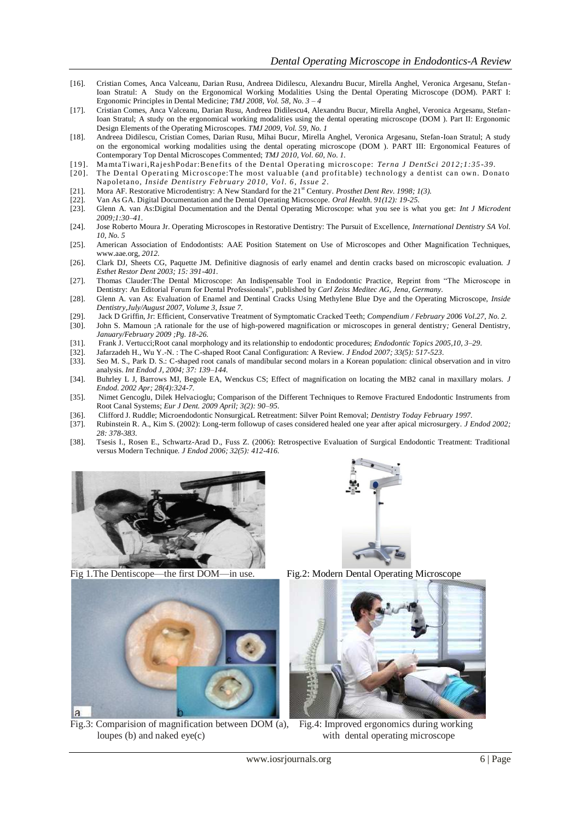- [16]. Cristian Comes, Anca Valceanu, Darian Rusu, Andreea Didilescu, Alexandru Bucur, Mirella Anghel, Veronica Argesanu, Stefan-Ioan Stratul: A Study on the Ergonomical Working Modalities Using the Dental Operating Microscope (DOM). PART I: Ergonomic Principles in Dental Medicine; *TMJ 2008, Vol. 58, No. 3 – 4*
- [17]. Cristian Comes, Anca Valceanu, Darian Rusu, Andreea Didilescu4, Alexandru Bucur, Mirella Anghel, Veronica Argesanu, Stefan-Ioan Stratul; A study on the ergonomical working modalities using the dental operating microscope (DOM ). Part II: Ergonomic Design Elements of the Operating Microscopes. *TMJ 2009, Vol. 59, No. 1*
- [18]. Andreea Didilescu, Cristian Comes, Darian Rusu, Mihai Bucur, Mirella Anghel, Veronica Argesanu, Stefan-Ioan Stratul; A study on the ergonomical working modalities using the dental operating microscope (DOM ). PART III: Ergonomical Features of Contemporary Top Dental Microscopes Commented; *TMJ 2010, Vol. 60, No. 1.*
- [19]. Ma mtaTiwari,Ra jeshPodar:Benefits of the D ental O perating microscope: *Terna J DentSci 2012;1:35 -39.*
- [20]. The Dental Operating Microscope: The most valuable (and profitable) technology a dentist can own. Donato Napoletano, *Inside Dentistry February 2010, Vol. 6, Issue 2.*
- [21]. Mora AF. Restorative Microdentistry: A New Standard for the 21<sup>st</sup> Century. *Prosthet Dent Rev. 1998; 1(3).* [22]. Van As GA. Digital Documentation and the Dental Operating Microscope. *Oral Health. 91(12): 19-25.*
- [22]. Van As GA. Digital Documentation and the Dental Operating Microscope. *Oral Health. 91(12): 19-25.*
- [23]. Glenn A. van As:Digital Documentation and the Dental Operating Microscope: what you see is what you get: *Int J Microdent 2009;1:30–41.*
- [24]. Jose Roberto Moura Jr. Operating Microscopes in Restorative Dentistry: The Pursuit of Excellence, *International Dentistry SA Vol. 10, No. 5*
- [25]. American Association of Endodontists: AAE Position Statement on Use of Microscopes and Other Magnification Techniques, www.aae.org*, 2012.*
- [26]. Clark DJ, Sheets CG, Paquette JM. Definitive diagnosis of early enamel and dentin cracks based on microscopic evaluation. *J Esthet Restor Dent 2003; 15: 391-401.*
- [27]. Thomas Clauder:The Dental Microscope: An Indispensable Tool in Endodontic Practice, Reprint from "The Microscope in Dentistry: An Editorial Forum for Dental Professionals<sup>"</sup>, published by *Carl Zeiss Meditec AG, Jena, Germany.*
- [28]. Glenn A. van As: Evaluation of Enamel and Dentinal Cracks Using Methylene Blue Dye and the Operating Microscope, *Inside Dentistry,July/August 2007, Volume 3, Issue 7.*
- [29]. Jack D Griffin, Jr: Efficient, Conservative Treatment of Symptomatic Cracked Teeth; *Compendium / February 2006 Vol.27, No. 2.* [30]. John S. Mamoun ;A rationale for the use of high-powered magnification or microscop
- [30]. John S. Mamoun ;A rationale for the use of high-powered magnification or microscopes in general dentistry*;* General Dentistry*, January/February 2009 ;Pg. 18-26.*
- [31]. Frank J. Vertucci;Root canal morphology and its relationship to endodontic procedures; *Endodontic Topics 2005,10, 3–29.*
- [32]. Jafarzadeh H., Wu Y.-N. : The C-shaped Root Canal Configuration: A Review. *J Endod 2007; 33(5): 517-523.*
- [33]. Seo M. S., Park D. S.: C-shaped root canals of mandibular second molars in a Korean population: clinical observation and in vitro analysis. *Int Endod J, 2004; 37: 139–144.*
- [34]. Buhrley L J, Barrows MJ, Begole EA, Wenckus CS; Effect of magnification on locating the MB2 canal in maxillary molars. *J Endod. 2002 Apr; 28(4):324-7.*
- [35]. [Nimet Gencoglu,](http://www.ncbi.nlm.nih.gov/sites/entrez?cmd=search&db=PubMed&term=%20Gencoglu%2BN%5bauth%5d) [Dilek Helvacioglu;](http://www.ncbi.nlm.nih.gov/sites/entrez?cmd=search&db=PubMed&term=%20Helvacioglu%2BD%5bauth%5d) Comparison of the Different Techniques to Remove Fractured Endodontic Instruments from Root Canal Systems; *Eur J Dent. 2009 April; 3(2): 90–95.*
- [36]. Clifford J. Ruddle; Microendodontic NonsurgicaL Retreatment: Silver Point Removal; *Dentistry Today February 1997.*
- [37]. Rubinstein R. A., Kim S. (2002): Long-term followup of cases considered healed one year after apical microsurgery. *J Endod 2002; 28: 378-383.*
- [38]. Tsesis I., Rosen E., Schwartz-Arad D., Fuss Z. (2006): Retrospective Evaluation of Surgical Endodontic Treatment: Traditional versus Modern Technique. *J Endod 2006; 32(5): 412-416.*





Fig 1.The Dentiscope—the first DOM—in use. Fig.2: Modern Dental Operating Microscope



Fig.3: Comparision of magnification between DOM (a), Fig.4: Improved ergonomics during working loupes (b) and naked eye(c) with dental operating microscope

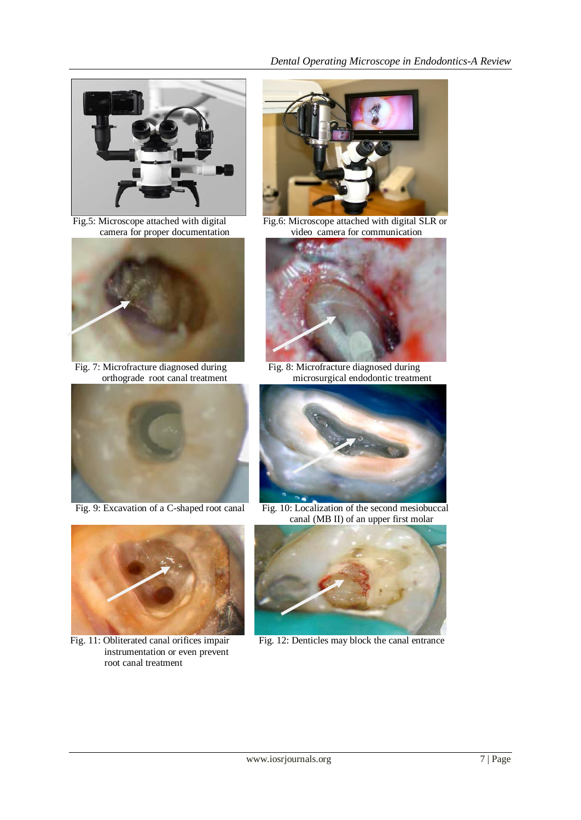

camera for proper documentation



Fig. 7: Microfracture diagnosed during<br>orthograde root canal treatment<br>microsurgical endodontic treatment





 instrumentation or even prevent root canal treatment



Fig.5: Microscope attached with digital Fig.6: Microscope attached with digital SLR or camera for proper documentation video camera for communication



microsurgical endodontic treatment



Fig. 9: Excavation of a C-shaped root canal Fig. 10: Localization of the second mesiobuccal canal (MB II) of an upper first molar



Fig. 11: Obliterated canal orifices impair Fig. 12: Denticles may block the canal entrance